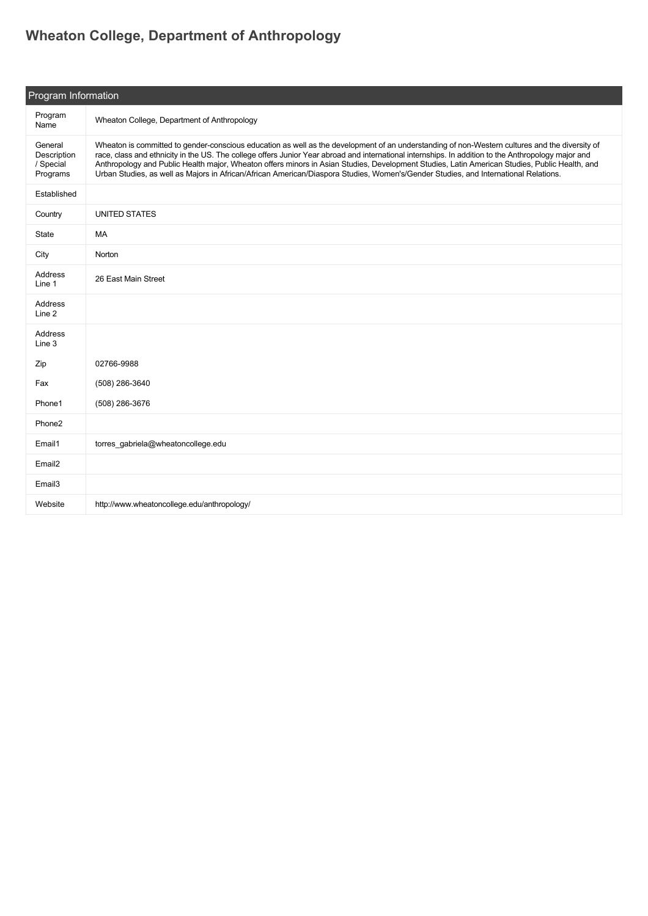## **[Wheaton College, Department of Anthropology](https://guide.americananthro.org/968/Wheaton-College-Department-of-Anthropology)**

| Program Information                             |                                                                                                                                                                                                                                                                                                                                                                                                                                                                                                                                                                                               |  |  |
|-------------------------------------------------|-----------------------------------------------------------------------------------------------------------------------------------------------------------------------------------------------------------------------------------------------------------------------------------------------------------------------------------------------------------------------------------------------------------------------------------------------------------------------------------------------------------------------------------------------------------------------------------------------|--|--|
| Program<br>Name                                 | Wheaton College, Department of Anthropology                                                                                                                                                                                                                                                                                                                                                                                                                                                                                                                                                   |  |  |
| General<br>Description<br>/ Special<br>Programs | Wheaton is committed to gender-conscious education as well as the development of an understanding of non-Western cultures and the diversity of<br>race, class and ethnicity in the US. The college offers Junior Year abroad and international internships. In addition to the Anthropology major and<br>Anthropology and Public Health major, Wheaton offers minors in Asian Studies, Development Studies, Latin American Studies, Public Health, and<br>Urban Studies, as well as Majors in African/African American/Diaspora Studies, Women's/Gender Studies, and International Relations. |  |  |
| Established                                     |                                                                                                                                                                                                                                                                                                                                                                                                                                                                                                                                                                                               |  |  |
| Country                                         | <b>UNITED STATES</b>                                                                                                                                                                                                                                                                                                                                                                                                                                                                                                                                                                          |  |  |
| State                                           | MA                                                                                                                                                                                                                                                                                                                                                                                                                                                                                                                                                                                            |  |  |
| City                                            | Norton                                                                                                                                                                                                                                                                                                                                                                                                                                                                                                                                                                                        |  |  |
| <b>Address</b><br>Line 1                        | 26 East Main Street                                                                                                                                                                                                                                                                                                                                                                                                                                                                                                                                                                           |  |  |
| Address<br>Line 2                               |                                                                                                                                                                                                                                                                                                                                                                                                                                                                                                                                                                                               |  |  |
| Address<br>Line 3                               |                                                                                                                                                                                                                                                                                                                                                                                                                                                                                                                                                                                               |  |  |
| Zip                                             | 02766-9988                                                                                                                                                                                                                                                                                                                                                                                                                                                                                                                                                                                    |  |  |
| Fax                                             | (508) 286-3640                                                                                                                                                                                                                                                                                                                                                                                                                                                                                                                                                                                |  |  |
| Phone1                                          | (508) 286-3676                                                                                                                                                                                                                                                                                                                                                                                                                                                                                                                                                                                |  |  |
| Phone <sub>2</sub>                              |                                                                                                                                                                                                                                                                                                                                                                                                                                                                                                                                                                                               |  |  |
| Email1                                          | torres_gabriela@wheatoncollege.edu                                                                                                                                                                                                                                                                                                                                                                                                                                                                                                                                                            |  |  |
| Email <sub>2</sub>                              |                                                                                                                                                                                                                                                                                                                                                                                                                                                                                                                                                                                               |  |  |
| Email <sub>3</sub>                              |                                                                                                                                                                                                                                                                                                                                                                                                                                                                                                                                                                                               |  |  |
| Website                                         | http://www.wheatoncollege.edu/anthropology/                                                                                                                                                                                                                                                                                                                                                                                                                                                                                                                                                   |  |  |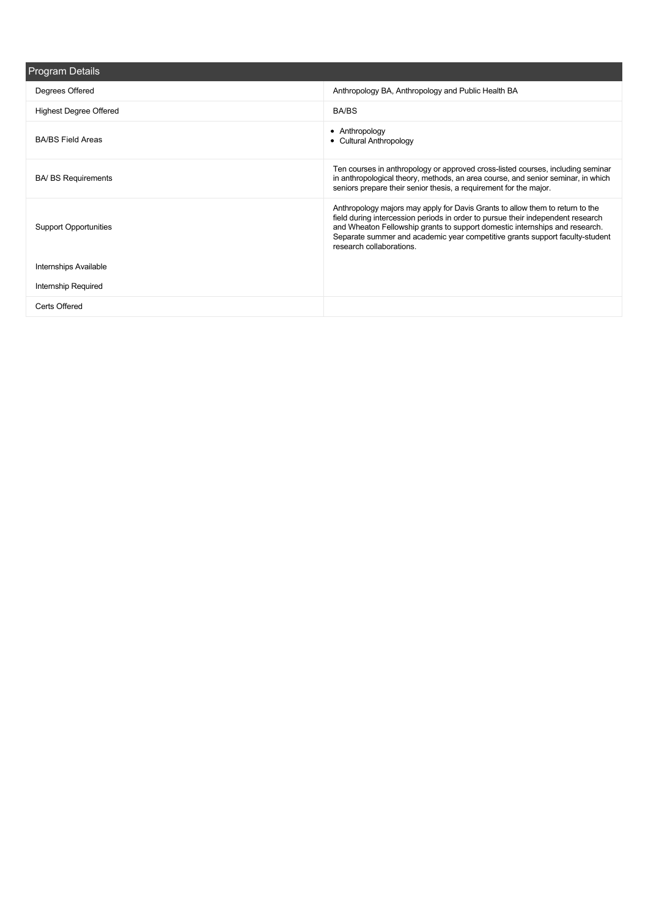| <b>Program Details</b>        |                                                                                                                                                                                                                                                                                                                                                             |
|-------------------------------|-------------------------------------------------------------------------------------------------------------------------------------------------------------------------------------------------------------------------------------------------------------------------------------------------------------------------------------------------------------|
| Degrees Offered               | Anthropology BA, Anthropology and Public Health BA                                                                                                                                                                                                                                                                                                          |
| <b>Highest Degree Offered</b> | BA/BS                                                                                                                                                                                                                                                                                                                                                       |
| <b>BA/BS Field Areas</b>      | • Anthropology<br>• Cultural Anthropology                                                                                                                                                                                                                                                                                                                   |
| <b>BA/ BS Requirements</b>    | Ten courses in anthropology or approved cross-listed courses, including seminar<br>in anthropological theory, methods, an area course, and senior seminar, in which<br>seniors prepare their senior thesis, a requirement for the major.                                                                                                                    |
| <b>Support Opportunities</b>  | Anthropology majors may apply for Davis Grants to allow them to return to the<br>field during intercession periods in order to pursue their independent research<br>and Wheaton Fellowship grants to support domestic internships and research.<br>Separate summer and academic year competitive grants support faculty-student<br>research collaborations. |
| Internships Available         |                                                                                                                                                                                                                                                                                                                                                             |
| <b>Internship Required</b>    |                                                                                                                                                                                                                                                                                                                                                             |
| Certs Offered                 |                                                                                                                                                                                                                                                                                                                                                             |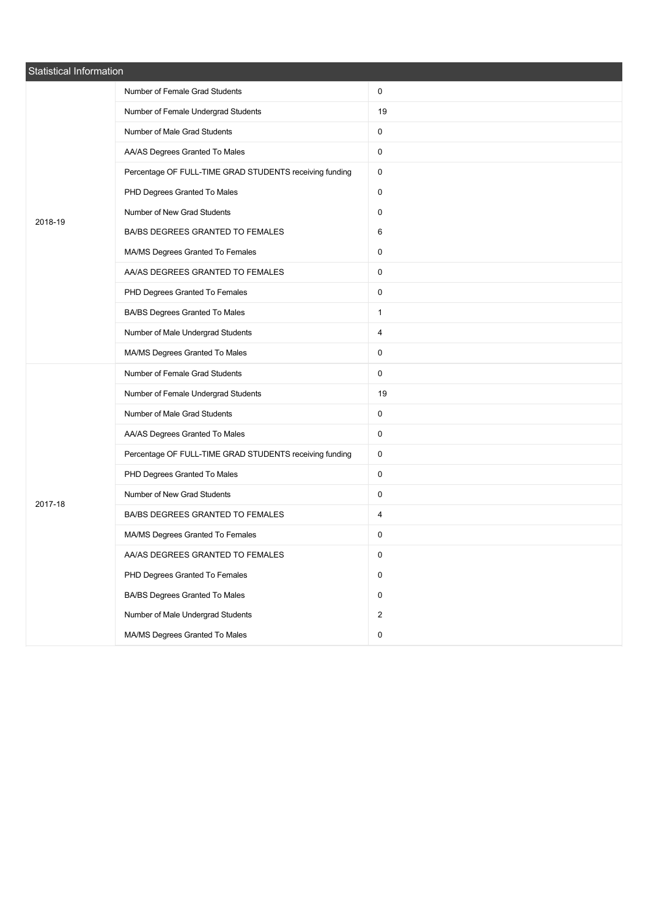| Statistical Information |                                                         |                |  |
|-------------------------|---------------------------------------------------------|----------------|--|
|                         | Number of Female Grad Students                          | 0              |  |
|                         | Number of Female Undergrad Students                     | 19             |  |
|                         | Number of Male Grad Students                            | 0              |  |
|                         | AA/AS Degrees Granted To Males                          | $\mathbf 0$    |  |
|                         | Percentage OF FULL-TIME GRAD STUDENTS receiving funding | $\mathbf 0$    |  |
|                         | PHD Degrees Granted To Males                            | 0              |  |
| 2018-19                 | Number of New Grad Students                             | $\mathbf 0$    |  |
|                         | BA/BS DEGREES GRANTED TO FEMALES                        | 6              |  |
|                         | MA/MS Degrees Granted To Females                        | 0              |  |
|                         | AA/AS DEGREES GRANTED TO FEMALES                        | 0              |  |
|                         | PHD Degrees Granted To Females                          | 0              |  |
|                         | BA/BS Degrees Granted To Males                          | $\mathbf{1}$   |  |
|                         | Number of Male Undergrad Students                       | 4              |  |
|                         | MA/MS Degrees Granted To Males                          | $\mathbf 0$    |  |
|                         | Number of Female Grad Students                          | 0              |  |
|                         | Number of Female Undergrad Students                     | 19             |  |
|                         | Number of Male Grad Students                            | 0              |  |
|                         | AA/AS Degrees Granted To Males                          | $\mathbf 0$    |  |
|                         | Percentage OF FULL-TIME GRAD STUDENTS receiving funding | 0              |  |
|                         | PHD Degrees Granted To Males                            | 0              |  |
| 2017-18                 | Number of New Grad Students                             | 0              |  |
|                         | BA/BS DEGREES GRANTED TO FEMALES                        | 4              |  |
|                         | MA/MS Degrees Granted To Females                        | 0              |  |
|                         | AA/AS DEGREES GRANTED TO FEMALES                        | 0              |  |
|                         | PHD Degrees Granted To Females                          | 0              |  |
|                         | BA/BS Degrees Granted To Males                          | $\mathbf 0$    |  |
|                         | Number of Male Undergrad Students                       | $\overline{2}$ |  |
|                         | MA/MS Degrees Granted To Males                          | $\pmb{0}$      |  |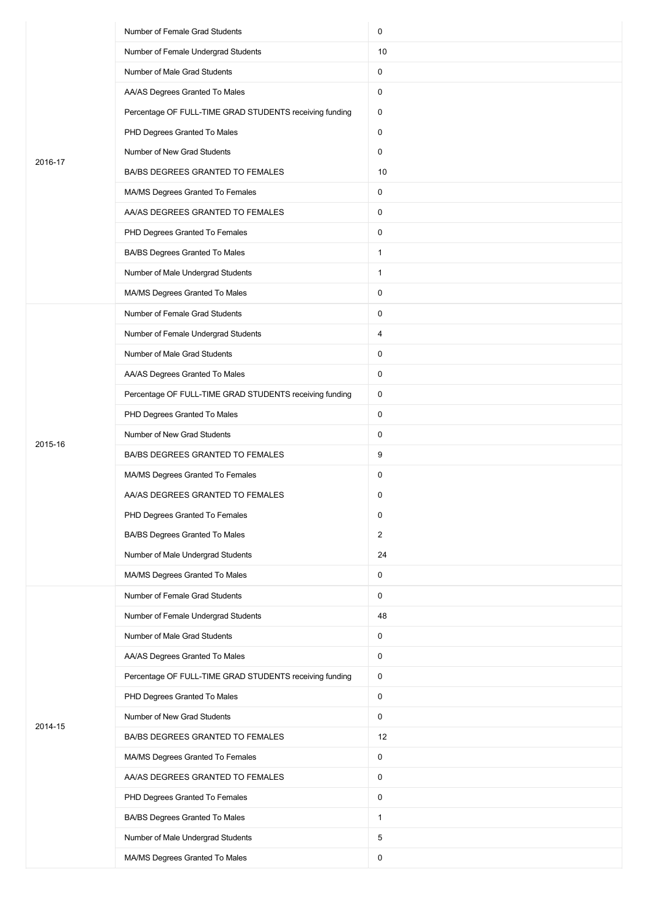|         | Number of Female Grad Students                          | 0              |
|---------|---------------------------------------------------------|----------------|
|         | Number of Female Undergrad Students                     | 10             |
|         | Number of Male Grad Students                            | 0              |
|         | AA/AS Degrees Granted To Males                          | 0              |
|         | Percentage OF FULL-TIME GRAD STUDENTS receiving funding | 0              |
|         | PHD Degrees Granted To Males                            | 0              |
| 2016-17 | Number of New Grad Students                             | 0              |
|         | BA/BS DEGREES GRANTED TO FEMALES                        | 10             |
|         | MA/MS Degrees Granted To Females                        | 0              |
|         | AA/AS DEGREES GRANTED TO FEMALES                        | 0              |
|         | PHD Degrees Granted To Females                          | 0              |
|         | BA/BS Degrees Granted To Males                          | $\mathbf{1}$   |
|         | Number of Male Undergrad Students                       | $\mathbf{1}$   |
|         | MA/MS Degrees Granted To Males                          | 0              |
|         | Number of Female Grad Students                          | 0              |
|         | Number of Female Undergrad Students                     | 4              |
|         | Number of Male Grad Students                            | 0              |
|         | AA/AS Degrees Granted To Males                          | 0              |
|         | Percentage OF FULL-TIME GRAD STUDENTS receiving funding | 0              |
|         | PHD Degrees Granted To Males                            | 0              |
| 2015-16 | Number of New Grad Students                             | 0              |
|         | BA/BS DEGREES GRANTED TO FEMALES                        | 9              |
|         | MA/MS Degrees Granted To Females                        | 0              |
|         | AA/AS DEGREES GRANTED TO FEMALES                        | 0              |
|         | PHD Degrees Granted To Females                          | 0              |
|         | BA/BS Degrees Granted To Males                          | $\overline{2}$ |
|         | Number of Male Undergrad Students                       | 24             |
|         | MA/MS Degrees Granted To Males                          | 0              |
|         | Number of Female Grad Students                          | 0              |
|         | Number of Female Undergrad Students                     | 48             |
|         | Number of Male Grad Students                            | 0              |
|         | AA/AS Degrees Granted To Males                          | 0              |
|         | Percentage OF FULL-TIME GRAD STUDENTS receiving funding | 0              |
|         | PHD Degrees Granted To Males                            | 0              |
| 2014-15 | Number of New Grad Students                             | 0              |
|         | BA/BS DEGREES GRANTED TO FEMALES                        | 12             |
|         | MA/MS Degrees Granted To Females                        | 0              |
|         | AA/AS DEGREES GRANTED TO FEMALES                        | 0              |
|         | PHD Degrees Granted To Females                          | 0              |
|         | BA/BS Degrees Granted To Males                          | $\mathbf{1}$   |
|         | Number of Male Undergrad Students                       | 5              |
|         | MA/MS Degrees Granted To Males                          | 0              |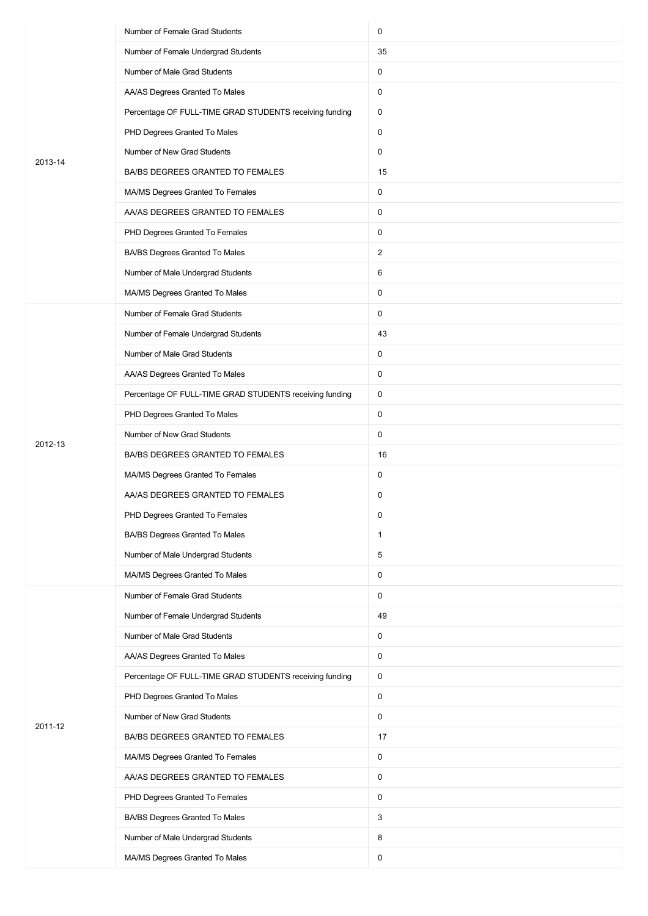|         | Number of Female Grad Students                          | 0              |
|---------|---------------------------------------------------------|----------------|
|         | Number of Female Undergrad Students                     | 35             |
|         | Number of Male Grad Students                            | 0              |
|         | AA/AS Degrees Granted To Males                          | 0              |
|         | Percentage OF FULL-TIME GRAD STUDENTS receiving funding | 0              |
|         | PHD Degrees Granted To Males                            | 0              |
| 2013-14 | Number of New Grad Students                             | 0              |
|         | BA/BS DEGREES GRANTED TO FEMALES                        | 15             |
|         | MA/MS Degrees Granted To Females                        | 0              |
|         | AA/AS DEGREES GRANTED TO FEMALES                        | 0              |
|         | PHD Degrees Granted To Females                          | 0              |
|         | BA/BS Degrees Granted To Males                          | $\overline{2}$ |
|         | Number of Male Undergrad Students                       | 6              |
|         | MA/MS Degrees Granted To Males                          | 0              |
|         | Number of Female Grad Students                          | 0              |
|         | Number of Female Undergrad Students                     | 43             |
|         | Number of Male Grad Students                            | 0              |
|         | AA/AS Degrees Granted To Males                          | 0              |
|         | Percentage OF FULL-TIME GRAD STUDENTS receiving funding | 0              |
|         | PHD Degrees Granted To Males                            | 0              |
| 2012-13 | Number of New Grad Students                             | 0              |
|         | BA/BS DEGREES GRANTED TO FEMALES                        | 16             |
|         | MA/MS Degrees Granted To Females                        | 0              |
|         | AA/AS DEGREES GRANTED TO FEMALES                        | 0              |
|         | PHD Degrees Granted To Females                          | 0              |
|         | BA/BS Degrees Granted To Males                          | $\mathbf{1}$   |
|         | Number of Male Undergrad Students                       | 5              |
|         | MA/MS Degrees Granted To Males                          | 0              |
|         | Number of Female Grad Students                          | 0              |
|         | Number of Female Undergrad Students                     | 49             |
|         | Number of Male Grad Students                            | 0              |
|         | AA/AS Degrees Granted To Males                          | 0              |
|         | Percentage OF FULL-TIME GRAD STUDENTS receiving funding | 0              |
|         | PHD Degrees Granted To Males                            | 0              |
| 2011-12 | Number of New Grad Students                             | 0              |
|         | BA/BS DEGREES GRANTED TO FEMALES                        | 17             |
|         | MA/MS Degrees Granted To Females                        | 0              |
|         | AA/AS DEGREES GRANTED TO FEMALES                        | 0              |
|         | PHD Degrees Granted To Females                          | 0              |
|         | BA/BS Degrees Granted To Males                          | 3              |
|         | Number of Male Undergrad Students                       | 8              |
|         | MA/MS Degrees Granted To Males                          | 0              |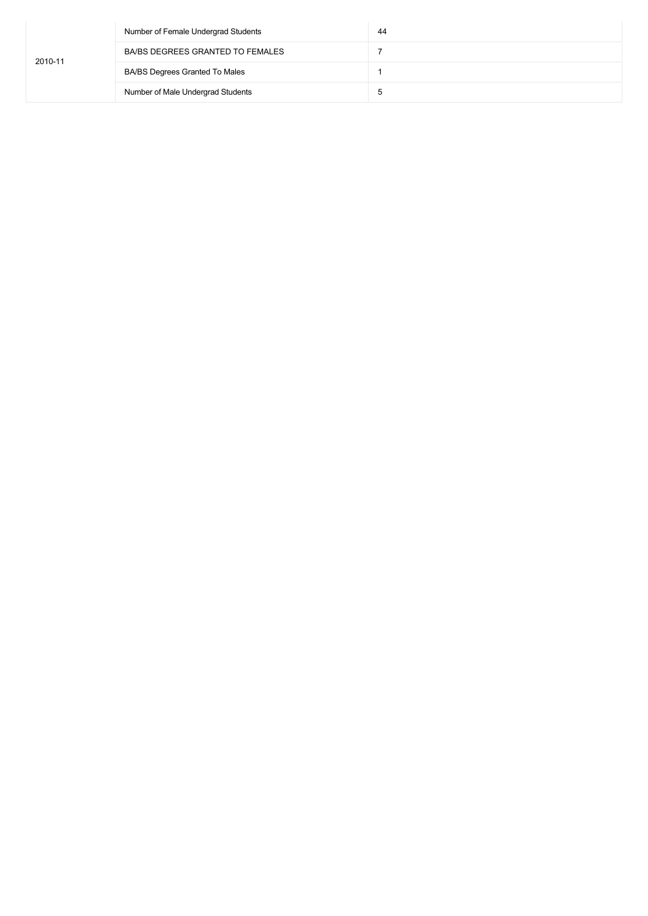|         | Number of Female Undergrad Students | 44 |
|---------|-------------------------------------|----|
| 2010-11 | BA/BS DEGREES GRANTED TO FEMALES    |    |
|         | BA/BS Degrees Granted To Males      |    |
|         | Number of Male Undergrad Students   | b  |